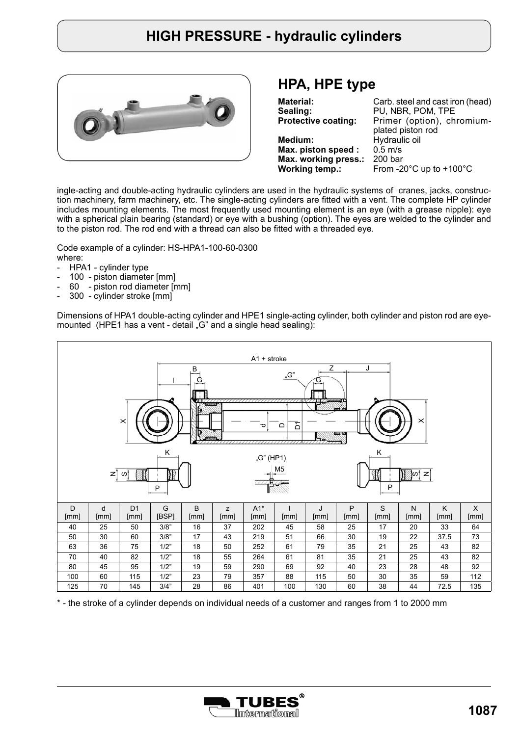

#### **HPA, HPE type**

| Carb. steel and cast iron (head)              |
|-----------------------------------------------|
| PU, NBR, POM, TPE                             |
| Primer (option), chromium-                    |
| plated piston rod                             |
| Hydraulic oil                                 |
| $0.5$ m/s                                     |
| 200 <sub>bar</sub>                            |
| From -20 $^{\circ}$ C up to +100 $^{\circ}$ C |
|                                               |

ingle-acting and double-acting hydraulic cylinders are used in the hydraulic systems of cranes, jacks, construction machinery, farm machinery, etc. The single-acting cylinders are fitted with a vent. The complete HP cylinder includes mounting elements. The most frequently used mounting element is an eye (with a grease nipple): eye with a spherical plain bearing (standard) or eye with a bushing (option). The eyes are welded to the cylinder and to the piston rod. The rod end with a thread can also be fitted with a threaded eye.

Code example of a cylinder: HS-HPA1-100-60-0300 where:

- HPA1 cylinder type
- 100 piston diameter [mm]
- 60 piston rod diameter [mm]
- 300 cylinder stroke [mm]

Dimensions of HPA1 double-acting cylinder and HPE1 single-acting cylinder, both cylinder and piston rod are eyemounted (HPE1 has a vent - detail "G" and a single head sealing):



\* - the stroke of a cylinder depends on individual needs of a customer and ranges from 1 to 2000 mm

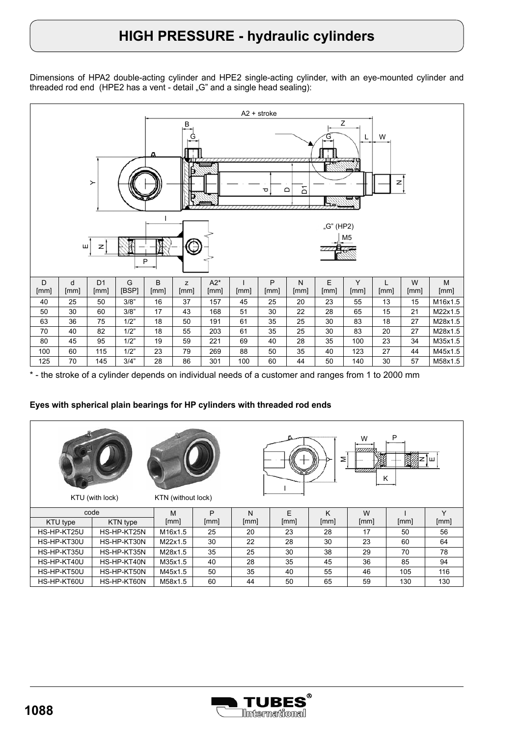Dimensions of HPA2 double-acting cylinder and HPE2 single-acting cylinder, with an eye-mounted cylinder and threaded rod end (HPE2 has a vent - detail " $G$ " and a single head sealing):



\* - the stroke of a cylinder depends on individual needs of a customer and ranges from 1 to 2000 mm

#### **Eyes with spherical plain bearings for HP cylinders with threaded rod ends**

| P<br>W<br>≅<br>mm<br>K<br>KTU (with lock)<br>KTN (without lock) |             |         |      |      |      |      |      |      |      |
|-----------------------------------------------------------------|-------------|---------|------|------|------|------|------|------|------|
|                                                                 | code        | M       | P    | N    | F    | K    | W    |      | Υ    |
| KTU type                                                        | KTN type    | [mm]    | [mm] | [mm] | [mm] | [mm] | [mm] | [mm] | [mm] |
| HS-HP-KT25U                                                     | HS-HP-KT25N | M16x1.5 | 25   | 20   | 23   | 28   | 17   | 50   | 56   |
| HS-HP-KT30U                                                     | HS-HP-KT30N | M22x1.5 | 30   | 22   | 28   | 30   | 23   | 60   | 64   |
| HS-HP-KT35U                                                     | HS-HP-KT35N | M28x1.5 | 35   | 25   | 30   | 38   | 29   | 70   | 78   |
| HS-HP-KT40U                                                     | HS-HP-KT40N | M35x1.5 | 40   | 28   | 35   | 45   | 36   | 85   | 94   |
| HS-HP-KT50U                                                     | HS-HP-KT50N | M45x1.5 | 50   | 35   | 40   | 55   | 46   | 105  | 116  |
| HS-HP-KT60U                                                     | HS-HP-KT60N | M58x1.5 | 60   | 44   | 50   | 65   | 59   | 130  | 130  |

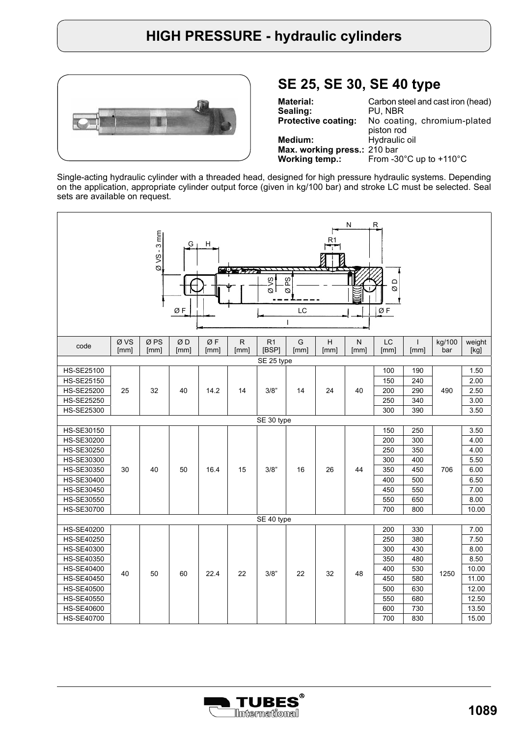

### **SE 25, SE 30, SE 40 type**

| Carbon steel and cast iron (head)             |  |  |  |  |  |  |  |
|-----------------------------------------------|--|--|--|--|--|--|--|
| PU, NBR                                       |  |  |  |  |  |  |  |
| No coating, chromium-plated                   |  |  |  |  |  |  |  |
| piston rod                                    |  |  |  |  |  |  |  |
| Hydraulic oil                                 |  |  |  |  |  |  |  |
| Max. working press.: 210 bar                  |  |  |  |  |  |  |  |
| From -30 $^{\circ}$ C up to +110 $^{\circ}$ C |  |  |  |  |  |  |  |
|                                               |  |  |  |  |  |  |  |

Single-acting hydraulic cylinder with a threaded head, designed for high pressure hydraulic systems. Depending on the application, appropriate cylinder output force (given in kg/100 bar) and stroke LC must be selected. Seal sets are available on request.

|                   |              | $-3$ mm<br>$QVS$ .      | G<br>ØF    | H.         | <b>Reduction Company</b> | $\frac{8}{3}$<br>ا چ | δg<br>Ø<br>LC<br>$\mathbf{I}$ |           | N                    | R.<br>≏<br>Ø<br>ØF |                      |               |                |
|-------------------|--------------|-------------------------|------------|------------|--------------------------|----------------------|-------------------------------|-----------|----------------------|--------------------|----------------------|---------------|----------------|
| code              | Ø VS<br>[mm] | Ø <sub>PS</sub><br>[mm] | ØD<br>[mm] | ØF<br>[mm] | ${\sf R}$<br>[mm]        | R1<br>[BSP]          | G<br>[mm]                     | H<br>[mm] | $\mathsf{N}$<br>[mm] | LC<br>[mm]         | $\mathbf{I}$<br>[mm] | kg/100<br>bar | weight<br>[kg] |
|                   |              |                         |            |            |                          | SE 25 type           |                               |           |                      |                    |                      |               |                |
| HS-SE25100        |              |                         |            |            |                          |                      |                               |           |                      | 100                | 190                  |               | 1.50           |
| <b>HS-SE25150</b> |              |                         |            |            |                          |                      |                               |           |                      | 150                | 240                  |               | 2.00           |
| <b>HS-SE25200</b> | 25           | 32                      | 40         | 14.2       | 14                       | 3/8"                 | 14                            | 24        | 40                   | 200                | 290                  | 490           | 2.50           |
| <b>HS-SE25250</b> |              |                         |            |            |                          |                      |                               |           |                      | 250                | 340                  |               | 3.00           |
| HS-SE25300        |              |                         |            |            |                          |                      |                               |           |                      | 300                | 390                  |               | 3.50           |
| SE 30 type        |              |                         |            |            |                          |                      |                               |           |                      |                    |                      |               |                |
| HS-SE30150        |              |                         |            |            |                          |                      |                               |           |                      | 150                | 250                  |               | 3.50           |
| HS-SE30200        |              |                         |            |            |                          |                      |                               |           |                      | 200                | 300                  |               | 4.00           |
| HS-SE30250        |              |                         |            |            |                          |                      |                               |           |                      | 250                | 350                  |               | 4.00           |
| HS-SE30300        |              |                         |            |            |                          |                      |                               |           |                      | 300                | 400                  |               | 5.50           |
| HS-SE30350        | 30           | 40                      | 50         | 16.4       | 15                       | 3/8"                 | 16                            | 26        | 44                   | 350                | 450                  | 706           | 6.00           |
| HS-SE30400        |              |                         |            |            |                          |                      |                               |           |                      | 400                | 500                  |               | 6.50           |
| HS-SE30450        |              |                         |            |            |                          |                      |                               |           |                      | 450                | 550                  |               | 7.00           |
| HS-SE30550        |              |                         |            |            |                          |                      |                               |           |                      | 550                | 650                  |               | 8.00           |
| HS-SE30700        |              |                         |            |            |                          |                      |                               |           |                      | 700                | 800                  |               | 10.00          |
|                   |              |                         |            |            |                          | SE 40 type           |                               |           |                      |                    |                      |               |                |
| HS-SE40200        |              |                         |            |            |                          |                      |                               |           |                      | 200                | 330                  |               | 7.00           |
| HS-SE40250        |              |                         |            |            |                          |                      |                               |           |                      | 250                | 380                  |               | 7.50           |
| <b>HS-SE40300</b> |              |                         |            |            |                          |                      |                               |           |                      | 300                | 430                  |               | 8.00           |
| HS-SE40350        |              |                         |            |            |                          |                      |                               |           |                      | 350                | 480                  |               | 8.50           |
| HS-SE40400        |              |                         |            |            |                          |                      |                               |           |                      | 400                | 530                  |               | 10.00          |
| <b>HS-SE40450</b> | 40           | 50                      | 60         | 22.4       | 22                       | 3/8"                 | 22                            | 32        | 48                   | 450                | 580                  | 1250          | 11.00          |
| <b>HS-SE40500</b> |              |                         |            |            |                          |                      |                               |           |                      | 500                | 630                  |               | 12.00          |
| <b>HS-SE40550</b> |              |                         |            |            |                          |                      |                               |           |                      | 550                | 680                  |               | 12.50          |
| HS-SE40600        |              |                         |            |            |                          |                      |                               |           |                      | 600                | 730                  |               | 13.50          |
| <b>HS-SE40700</b> |              |                         |            |            |                          |                      |                               |           |                      | 700                | 830                  |               | 15.00          |

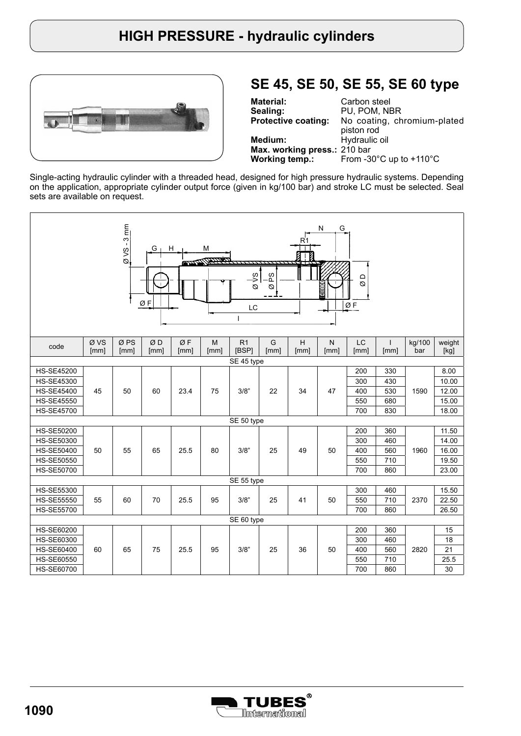

## **SE 45, SE 50, SE 55, SE 60 type**

**Material: Sealing: Protective coating: Medium: Max. working press.:**  210 bar **Working temp.:** Carbon steel PU, POM, NBR No coating, chromium-plated piston rod Hydraulic oil From -30°C up to +110°C

Single-acting hydraulic cylinder with a threaded head, designed for high pressure hydraulic systems. Depending on the application, appropriate cylinder output force (given in kg/100 bar) and stroke LC must be selected. Seal sets are available on request.

| $-3$ mm<br>${\sf N}$<br>G<br>H<br>M<br>G<br>$rac{6}{9}$<br><u>enne Matthew</u><br>ا≈ِ<br>.<br>A<br>a d<br>$\alpha$<br>Ø<br>anno<br>ØF<br>ØF<br>LC<br>I |             |             |            |            |           |                         |           |           |                   |            |                      |               |                |
|--------------------------------------------------------------------------------------------------------------------------------------------------------|-------------|-------------|------------|------------|-----------|-------------------------|-----------|-----------|-------------------|------------|----------------------|---------------|----------------|
| code                                                                                                                                                   | ØVS<br>[mm] | ØPS<br>[mm] | ØD<br>[mm] | ØF<br>[mm] | M<br>[mm] | R <sub>1</sub><br>[BSP] | G<br>[mm] | Н<br>[mm] | ${\sf N}$<br>[mm] | LC<br>[mm] | $\mathbf{I}$<br>[mm] | kg/100<br>bar | weight<br>[kg] |
|                                                                                                                                                        | SE 45 type  |             |            |            |           |                         |           |           |                   |            |                      |               |                |
| <b>HS-SE45200</b>                                                                                                                                      |             |             |            |            |           |                         |           |           |                   | 200        | 330                  |               | 8.00           |
| <b>HS-SE45300</b>                                                                                                                                      |             |             |            |            |           |                         |           |           |                   | 300        | 430                  |               | 10.00          |
| <b>HS-SE45400</b>                                                                                                                                      | 45          | 50          | 60         | 23.4       | 75        | 3/8"                    | 22        | 34        | 47                | 400        | 530                  | 1590          | 12.00          |
| <b>HS-SE45550</b>                                                                                                                                      |             |             |            |            |           |                         |           |           |                   | 550        | 680                  |               | 15.00          |
| <b>HS-SE45700</b>                                                                                                                                      |             |             |            |            |           |                         |           |           |                   | 700        | 830                  |               | 18.00          |
|                                                                                                                                                        |             |             |            |            |           | SE 50 type              |           |           |                   |            |                      |               |                |
| <b>HS-SE50200</b>                                                                                                                                      |             |             |            |            |           |                         |           |           |                   | 200        | 360                  |               | 11.50          |
| <b>HS-SE50300</b>                                                                                                                                      |             |             |            |            |           |                         |           |           |                   | 300        | 460                  |               | 14.00          |
| <b>HS-SE50400</b>                                                                                                                                      | 50          | 55          | 65         | 25.5       | 80        | 3/8"                    | 25        | 49        | 50                | 400        | 560                  | 1960          | 16.00          |
| <b>HS-SE50550</b>                                                                                                                                      |             |             |            |            |           |                         |           |           |                   | 550        | 710                  |               | 19.50          |
| <b>HS-SE50700</b>                                                                                                                                      |             |             |            |            |           |                         |           |           |                   | 700        | 860                  |               | 23.00          |
|                                                                                                                                                        |             |             |            |            |           | SE 55 type              |           |           |                   |            |                      |               |                |
| <b>HS-SE55300</b>                                                                                                                                      |             |             |            |            |           |                         |           |           |                   | 300        | 460                  |               | 15.50          |
| <b>HS-SE55550</b>                                                                                                                                      | 55          | 60          | 70         | 25.5       | 95        | 3/8"                    | 25        | 41        | 50                | 550        | 710                  | 2370          | 22.50          |
| <b>HS-SE55700</b>                                                                                                                                      |             |             |            |            |           |                         |           |           |                   | 700        | 860                  |               | 26.50          |
|                                                                                                                                                        |             |             |            |            |           | SE 60 type              |           |           |                   |            |                      |               |                |
| <b>HS-SE60200</b>                                                                                                                                      |             |             |            |            |           |                         |           |           |                   | 200        | 360                  |               | 15             |
| <b>HS-SE60300</b>                                                                                                                                      |             |             |            |            |           |                         |           |           |                   | 300        | 460                  |               | 18             |
| <b>HS-SE60400</b>                                                                                                                                      | 60          | 65          | 75         | 25.5       | 95        | 3/8"                    | 25        | 36        | 50                | 400        | 560                  | 2820          | 21             |
| <b>HS-SE60550</b>                                                                                                                                      |             |             |            |            |           |                         |           |           |                   | 550        | 710                  |               | 25.5           |
| <b>HS-SE60700</b>                                                                                                                                      |             |             |            |            |           |                         |           |           |                   | 700        | 860                  |               | 30             |

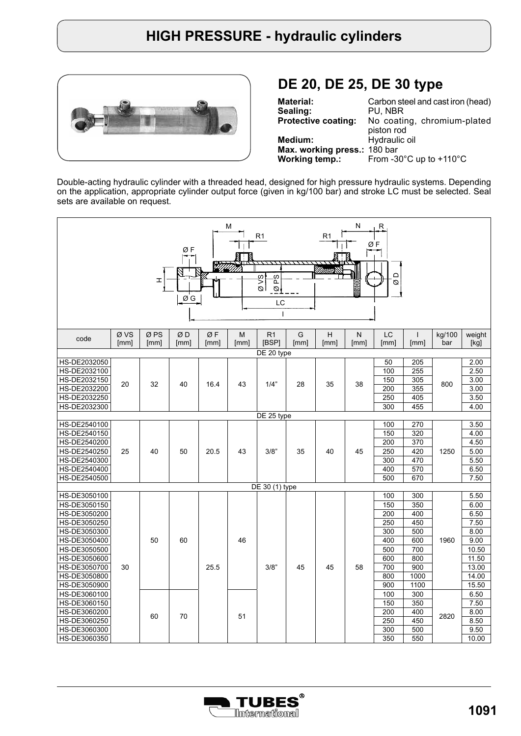

## **DE 20, DE 25, DE 30 type**

| <b>Material:</b>             | Carbon steel and cast iron (head)             |
|------------------------------|-----------------------------------------------|
| Sealing:                     | PU. NBR                                       |
| <b>Protective coating:</b>   | No coating, chromium-plated                   |
|                              | piston rod                                    |
| Medium:                      | Hydraulic oil                                 |
| Max. working press.: 180 bar |                                               |
| Working temp.:               | From -30 $^{\circ}$ C up to +110 $^{\circ}$ C |

Double-acting hydraulic cylinder with a threaded head, designed for high pressure hydraulic systems. Depending on the application, appropriate cylinder output force (given in kg/100 bar) and stroke LC must be selected. Seal sets are available on request.

| N<br>М<br>R<br>R1<br>R <sub>1</sub><br>ØF<br>ØF<br>$\Box$<br>Ş<br>δg<br>H<br>Ø<br>اھ<br>š<br>$\varnothing$<br>ØG<br>LC<br>$\mathbf{I}$ |              |                         |            |            |           |                         |           |           |           |            |                      |               |                |     |  |
|----------------------------------------------------------------------------------------------------------------------------------------|--------------|-------------------------|------------|------------|-----------|-------------------------|-----------|-----------|-----------|------------|----------------------|---------------|----------------|-----|--|
| code                                                                                                                                   | Ø VS<br>[mm] | Ø <sub>PS</sub><br>[mm] | ØD<br>[mm] | ØF<br>[mm] | M<br>[mm] | R <sub>1</sub><br>[BSP] | G<br>[mm] | н<br>[mm] | N<br>[mm] | LC<br>[mm] | $\mathsf{I}$<br>[mm] | kg/100<br>bar | weight<br>[kg] |     |  |
|                                                                                                                                        |              |                         |            |            |           | DE 20 type              |           |           |           |            |                      |               |                |     |  |
| HS-DE2032050                                                                                                                           |              |                         |            |            |           |                         |           |           |           | 50         | 205                  |               | 2.00           |     |  |
| HS-DE2032100                                                                                                                           |              |                         |            |            |           |                         |           |           |           | 100        | 255                  |               | 2.50           |     |  |
| HS-DE2032150                                                                                                                           | 20           | 32                      | 40         | 16.4       | 43        | 1/4"                    | 28        | 35        | 38        | 150        | 305                  | 800           | 3.00           |     |  |
| HS-DE2032200                                                                                                                           |              |                         |            |            |           |                         |           |           |           | 200        | 355                  |               | 3.00           |     |  |
| HS-DE2032250                                                                                                                           |              |                         |            |            |           |                         |           |           |           | 250        | 405                  |               | 3.50           |     |  |
| HS-DE2032300                                                                                                                           |              |                         |            |            |           |                         |           |           |           | 300        | 455                  |               | 4.00           |     |  |
| HS-DE2540100                                                                                                                           |              |                         |            |            |           | DE 25 type              |           |           |           | 100        | 270                  |               | 3.50           |     |  |
| HS-DE2540150                                                                                                                           |              |                         |            |            |           |                         |           |           |           | 150        | 320                  |               | 4.00           |     |  |
| HS-DE2540200                                                                                                                           |              |                         |            |            |           |                         |           |           |           | 200        | 370                  |               | 4.50           |     |  |
| HS-DE2540250                                                                                                                           | 25           | 40                      | 50         | 20.5       | 43        | 3/8"                    | 35        | 40        | 45        | 250        | 420                  | 1250          | 5.00           |     |  |
| HS-DE2540300                                                                                                                           |              |                         |            |            |           |                         |           |           |           | 300        | 470                  |               | 5.50           |     |  |
| HS-DE2540400                                                                                                                           |              |                         |            |            |           |                         |           |           |           |            |                      |               | 400            | 570 |  |
| HS-DE2540500                                                                                                                           |              |                         |            |            |           |                         |           |           |           | 500        | 670                  |               | 7.50           |     |  |
|                                                                                                                                        |              |                         |            |            |           | DE 30 (1) type          |           |           |           |            |                      |               |                |     |  |
| HS-DE3050100                                                                                                                           |              |                         |            |            |           |                         |           |           |           | 100        | 300                  |               | 5.50           |     |  |
| HS-DE3050150                                                                                                                           |              |                         |            |            |           |                         |           |           |           | 150        | 350                  |               | 6.00           |     |  |
| HS-DE3050200                                                                                                                           |              |                         |            |            |           |                         |           |           |           | 200        | 400                  |               | 6.50           |     |  |
| HS-DE3050250                                                                                                                           |              |                         |            |            |           |                         |           |           |           | 250        | 450                  |               | 7.50           |     |  |
| HS-DE3050300                                                                                                                           |              |                         |            |            |           |                         |           |           |           | 300        | 500                  |               | 8.00           |     |  |
| HS-DE3050400                                                                                                                           |              | 50                      | 60         |            | 46        |                         |           |           |           | 400        | 600                  | 1960          | 9.00           |     |  |
| HS-DE3050500                                                                                                                           |              |                         |            |            |           |                         |           |           |           | 500        | 700                  |               | 10.50          |     |  |
| HS-DE3050600                                                                                                                           |              |                         |            |            |           |                         |           |           |           | 600        | 800                  |               | 11.50          |     |  |
| HS-DE3050700<br>HS-DE3050800                                                                                                           | 30           |                         |            | 25.5       |           | 3/8"                    | 45        | 45        | 58        | 700<br>800 | 900<br>1000          |               | 13.00<br>14.00 |     |  |
| HS-DE3050900                                                                                                                           |              |                         |            |            |           |                         |           |           |           | 900        | 1100                 |               | 15.50          |     |  |
| HS-DE3060100                                                                                                                           |              |                         |            |            |           |                         |           |           |           | 100        | 300                  |               | 6.50           |     |  |
| HS-DE3060150                                                                                                                           |              |                         |            |            |           |                         |           |           |           | 150        | 350                  |               | 7.50           |     |  |
| HS-DE3060200                                                                                                                           |              |                         |            |            |           |                         |           |           |           | 200        | 400                  |               | 8.00           |     |  |
| HS-DE3060250                                                                                                                           |              | 60                      | 70         |            | 51        |                         |           |           |           | 250        | 450                  | 2820          | 8.50           |     |  |
| HS-DE3060300                                                                                                                           |              |                         |            |            |           |                         |           |           |           | 300        | 500                  |               | 9.50           |     |  |
| HS-DE3060350                                                                                                                           |              |                         |            |            |           |                         |           |           |           | 350        | 550                  |               | 10.00          |     |  |